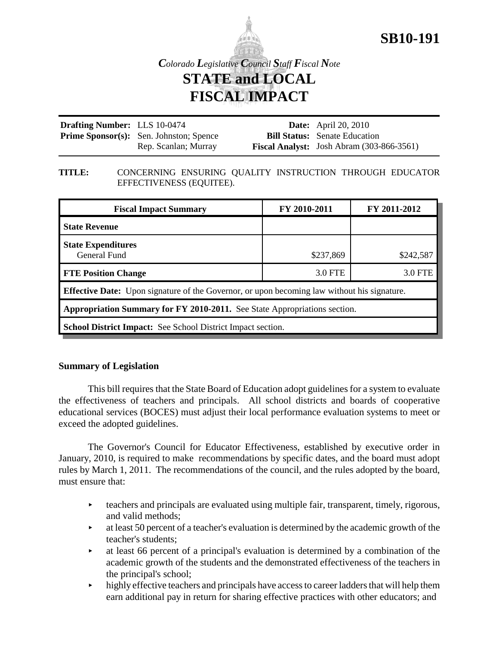

# **SB10-191**

*Colorado Legislative Council Staff Fiscal Note* **STATE and LOCAL FISCAL IMPACT**

| <b>Drafting Number:</b> LLS 10-0474 |                                                | <b>Date:</b> April 20, 2010                        |
|-------------------------------------|------------------------------------------------|----------------------------------------------------|
|                                     | <b>Prime Sponsor(s):</b> Sen. Johnston; Spence | <b>Bill Status:</b> Senate Education               |
|                                     | Rep. Scanlan; Murray                           | <b>Fiscal Analyst:</b> Josh Abram $(303-866-3561)$ |

#### **TITLE:** CONCERNING ENSURING QUALITY INSTRUCTION THROUGH EDUCATOR EFFECTIVENESS (EQUITEE).

| <b>Fiscal Impact Summary</b>                                                                       | FY 2010-2011 | FY 2011-2012 |  |  |  |
|----------------------------------------------------------------------------------------------------|--------------|--------------|--|--|--|
| <b>State Revenue</b>                                                                               |              |              |  |  |  |
| <b>State Expenditures</b><br>General Fund                                                          | \$237,869    | \$242,587    |  |  |  |
| <b>FTE Position Change</b>                                                                         | 3.0 FTE      | 3.0 FTE      |  |  |  |
| <b>Effective Date:</b> Upon signature of the Governor, or upon becoming law without his signature. |              |              |  |  |  |
| Appropriation Summary for FY 2010-2011. See State Appropriations section.                          |              |              |  |  |  |
| <b>School District Impact:</b> See School District Impact section.                                 |              |              |  |  |  |

# **Summary of Legislation**

This bill requires that the State Board of Education adopt guidelines for a system to evaluate the effectiveness of teachers and principals. All school districts and boards of cooperative educational services (BOCES) must adjust their local performance evaluation systems to meet or exceed the adopted guidelines.

The Governor's Council for Educator Effectiveness, established by executive order in January, 2010, is required to make recommendations by specific dates, and the board must adopt rules by March 1, 2011. The recommendations of the council, and the rules adopted by the board, must ensure that:

- $\triangleright$  teachers and principals are evaluated using multiple fair, transparent, timely, rigorous, and valid methods;
- $\blacktriangleright$  at least 50 percent of a teacher's evaluation is determined by the academic growth of the teacher's students;
- < at least 66 percent of a principal's evaluation is determined by a combination of the academic growth of the students and the demonstrated effectiveness of the teachers in the principal's school;
- $\blacktriangleright$  highly effective teachers and principals have access to career ladders that will help them earn additional pay in return for sharing effective practices with other educators; and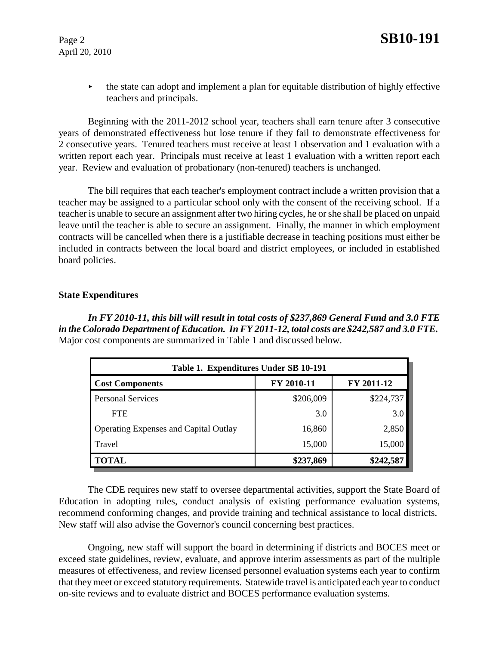April 20, 2010

 $\blacktriangleright$  the state can adopt and implement a plan for equitable distribution of highly effective teachers and principals.

Beginning with the 2011-2012 school year, teachers shall earn tenure after 3 consecutive years of demonstrated effectiveness but lose tenure if they fail to demonstrate effectiveness for 2 consecutive years. Tenured teachers must receive at least 1 observation and 1 evaluation with a written report each year. Principals must receive at least 1 evaluation with a written report each year. Review and evaluation of probationary (non-tenured) teachers is unchanged.

The bill requires that each teacher's employment contract include a written provision that a teacher may be assigned to a particular school only with the consent of the receiving school. If a teacher is unable to secure an assignment after two hiring cycles, he or she shall be placed on unpaid leave until the teacher is able to secure an assignment. Finally, the manner in which employment contracts will be cancelled when there is a justifiable decrease in teaching positions must either be included in contracts between the local board and district employees, or included in established board policies.

# **State Expenditures**

*In FY 2010-11, this bill will result in total costs of \$237,869 General Fund and 3.0 FTE in the Colorado Department of Education. In FY 2011-12, total costs are \$242,587 and 3.0 FTE.*  Major cost components are summarized in Table 1 and discussed below.

| Table 1. Expenditures Under SB 10-191        |            |            |  |  |  |  |
|----------------------------------------------|------------|------------|--|--|--|--|
| <b>Cost Components</b>                       | FY 2010-11 | FY 2011-12 |  |  |  |  |
| <b>Personal Services</b>                     | \$206,009  | \$224,737  |  |  |  |  |
| <b>FTE</b>                                   | 3.0        | 3.0        |  |  |  |  |
| <b>Operating Expenses and Capital Outlay</b> | 16,860     | 2,850      |  |  |  |  |
| Travel                                       | 15,000     | 15,000     |  |  |  |  |
| <b>TOTAL</b>                                 | \$237,869  | \$242,587  |  |  |  |  |

The CDE requires new staff to oversee departmental activities, support the State Board of Education in adopting rules, conduct analysis of existing performance evaluation systems, recommend conforming changes, and provide training and technical assistance to local districts. New staff will also advise the Governor's council concerning best practices.

Ongoing, new staff will support the board in determining if districts and BOCES meet or exceed state guidelines, review, evaluate, and approve interim assessments as part of the multiple measures of effectiveness, and review licensed personnel evaluation systems each year to confirm that they meet or exceed statutory requirements. Statewide travel is anticipated each year to conduct on-site reviews and to evaluate district and BOCES performance evaluation systems.